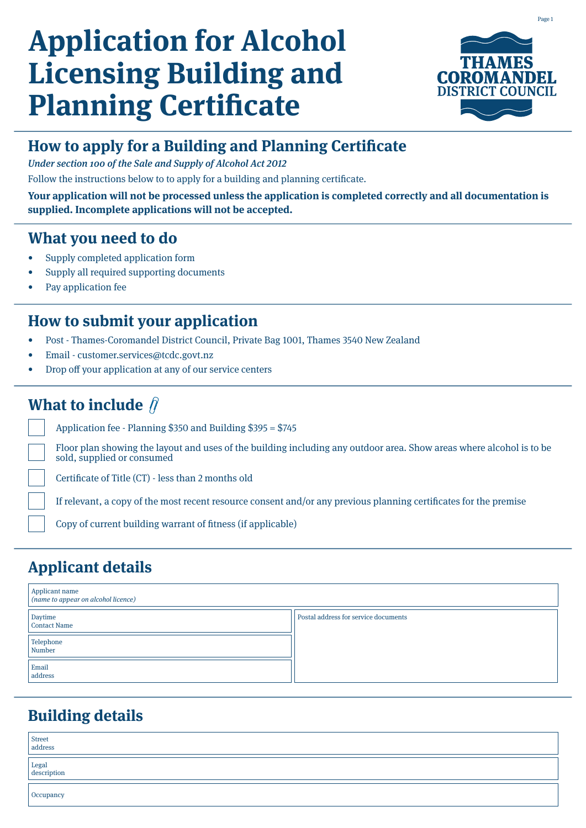# **Application for Alcohol Licensing Building and Planning Certificate**



## **How to apply for a Building and Planning Certificate**

Under section 100 of the Sale and Supply of Alcohol Act 2012

Follow the instructions below to to apply for a building and planning certificate.

**Your application will not be processed unless the application is completed correctly and all documentation is supplied. Incomplete applications will not be accepted.**

#### **What you need to do**

- Supply completed application form
- Supply all required supporting documents
- Pay application fee

### **How to submit your application**

- Post Thames-Coromandel District Council, Private Bag 1001, Thames 3540 New Zealand
- Email customer.services@tcdc.govt.nz
- Drop off your application at any of our service centers

# **What to include**  $\hat{\beta}$

Application fee - Planning \$350 and Building \$395 = \$745

Floor plan showing the layout and uses of the building including any outdoor area. Show areas where alcohol is to be sold, supplied or consumed

Certificate of Title (CT) - less than 2 months old

If relevant, a copy of the most recent resource consent and/or any previous planning certificates for the premise

Copy of current building warrant of fitness (if applicable)

# **Applicant details**

| Applicant name<br>(name to appear on alcohol licence) |                                      |  |  |  |  |  |  |
|-------------------------------------------------------|--------------------------------------|--|--|--|--|--|--|
| Daytime<br>Contact Name                               | Postal address for service documents |  |  |  |  |  |  |
| Telephone<br>Number                                   |                                      |  |  |  |  |  |  |
| Email<br>address                                      |                                      |  |  |  |  |  |  |

# **Building details**

| Street<br>address    |  |
|----------------------|--|
| Legal<br>description |  |
| Occupancy            |  |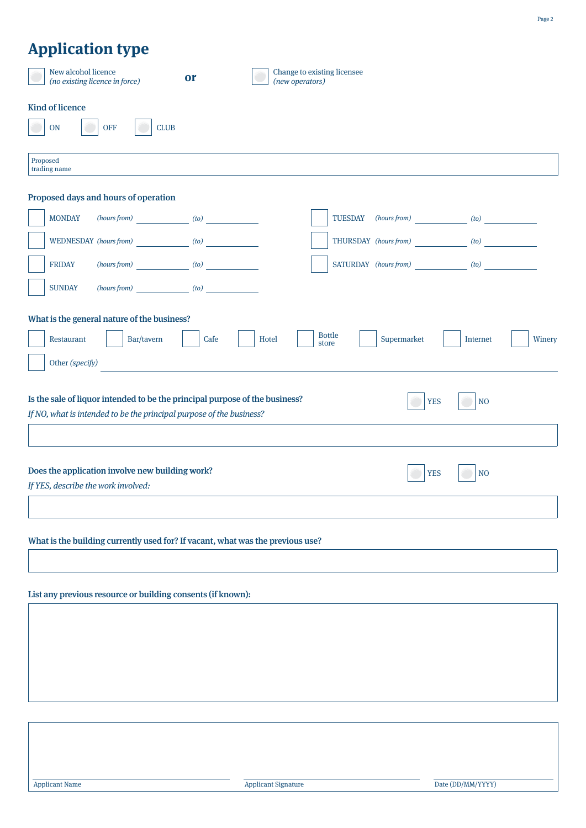# **Application type**

|                                                                                                                                                                                     | New alcohol licence<br>(no existing licence in force)            | or   |  |       | (new operators) | Change to existing licensee |                            |          |        |
|-------------------------------------------------------------------------------------------------------------------------------------------------------------------------------------|------------------------------------------------------------------|------|--|-------|-----------------|-----------------------------|----------------------------|----------|--------|
|                                                                                                                                                                                     | <b>Kind of licence</b><br><b>OFF</b><br><b>ON</b><br><b>CLUB</b> |      |  |       |                 |                             |                            |          |        |
| Proposed                                                                                                                                                                            | trading name                                                     |      |  |       |                 |                             |                            |          |        |
|                                                                                                                                                                                     | Proposed days and hours of operation                             |      |  |       |                 |                             |                            |          |        |
|                                                                                                                                                                                     | <b>MONDAY</b><br>$(hours from)$ $(to)$                           |      |  |       |                 |                             | TUESDAY (hours from) (to)  |          |        |
|                                                                                                                                                                                     | WEDNESDAY (hours from) (to)                                      |      |  |       |                 |                             | THURSDAY (hours from) (to) |          |        |
|                                                                                                                                                                                     | $(hours from)$ $(to)$<br><b>FRIDAY</b>                           |      |  |       |                 |                             | SATURDAY (hours from) (to) |          |        |
|                                                                                                                                                                                     | $(hours from)$ (to) (to)<br><b>SUNDAY</b>                        |      |  |       |                 |                             |                            |          |        |
|                                                                                                                                                                                     | What is the general nature of the business?                      |      |  |       |                 |                             |                            |          |        |
|                                                                                                                                                                                     | Bar/tavern<br>Restaurant                                         | Cafe |  | Hotel | store           | <b>Bottle</b>               | Supermarket                | Internet | Winery |
|                                                                                                                                                                                     | Other (specify)                                                  |      |  |       |                 |                             |                            |          |        |
| Is the sale of liquor intended to be the principal purpose of the business?<br><b>YES</b><br>N <sub>O</sub><br>If NO, what is intended to be the principal purpose of the business? |                                                                  |      |  |       |                 |                             |                            |          |        |
|                                                                                                                                                                                     |                                                                  |      |  |       |                 |                             |                            |          |        |
| Does the application involve new building work?<br><b>YES</b><br>N <sub>O</sub><br>If YES, describe the work involved:                                                              |                                                                  |      |  |       |                 |                             |                            |          |        |
|                                                                                                                                                                                     |                                                                  |      |  |       |                 |                             |                            |          |        |
| What is the building currently used for? If vacant, what was the previous use?                                                                                                      |                                                                  |      |  |       |                 |                             |                            |          |        |
|                                                                                                                                                                                     |                                                                  |      |  |       |                 |                             |                            |          |        |
|                                                                                                                                                                                     |                                                                  |      |  |       |                 |                             |                            |          |        |

List any previous resource or building consents (if known):

Page 2